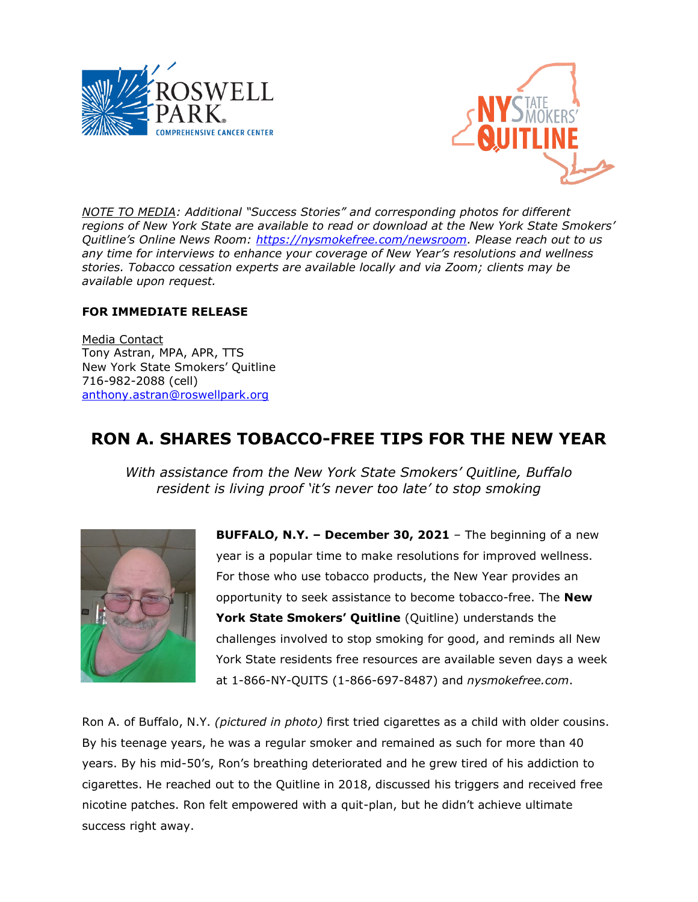



*NOTE TO MEDIA: Additional "Success Stories" and corresponding photos for different regions of New York State are available to read or download at the New York State Smokers' Quitline's Online News Room: [https://nysmokefree.com/newsroom.](https://nysmokefree.com/newsroom) Please reach out to us any time for interviews to enhance your coverage of New Year's resolutions and wellness stories. Tobacco cessation experts are available locally and via Zoom; clients may be available upon request.* 

### **FOR IMMEDIATE RELEASE**

Media Contact Tony Astran, MPA, APR, TTS New York State Smokers' Quitline 716-982-2088 (cell) [anthony.astran@roswellpark.org](mailto:anthony.astran@roswellpark.org)

# **RON A. SHARES TOBACCO-FREE TIPS FOR THE NEW YEAR**

*With assistance from the New York State Smokers' Quitline, Buffalo resident is living proof 'it's never too late' to stop smoking* 



**BUFFALO, N.Y. – December 30, 2021** – The beginning of a new year is a popular time to make resolutions for improved wellness. For those who use tobacco products, the New Year provides an opportunity to seek assistance to become tobacco-free. The **New York State Smokers' Quitline** (Quitline) understands the challenges involved to stop smoking for good, and reminds all New York State residents free resources are available seven days a week at 1-866-NY-QUITS (1-866-697-8487) and *nysmokefree.com*.

Ron A. of Buffalo, N.Y. *(pictured in photo)* first tried cigarettes as a child with older cousins. By his teenage years, he was a regular smoker and remained as such for more than 40 years. By his mid-50's, Ron's breathing deteriorated and he grew tired of his addiction to cigarettes. He reached out to the Quitline in 2018, discussed his triggers and received free nicotine patches. Ron felt empowered with a quit-plan, but he didn't achieve ultimate success right away.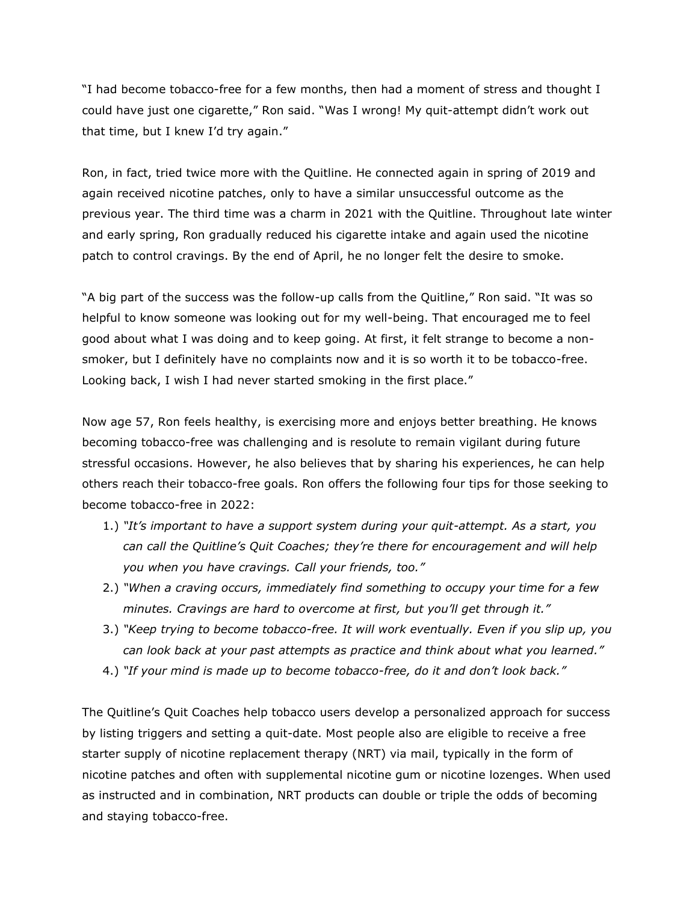"I had become tobacco-free for a few months, then had a moment of stress and thought I could have just one cigarette," Ron said. "Was I wrong! My quit-attempt didn't work out that time, but I knew I'd try again."

Ron, in fact, tried twice more with the Quitline. He connected again in spring of 2019 and again received nicotine patches, only to have a similar unsuccessful outcome as the previous year. The third time was a charm in 2021 with the Quitline. Throughout late winter and early spring, Ron gradually reduced his cigarette intake and again used the nicotine patch to control cravings. By the end of April, he no longer felt the desire to smoke.

"A big part of the success was the follow-up calls from the Quitline," Ron said. "It was so helpful to know someone was looking out for my well-being. That encouraged me to feel good about what I was doing and to keep going. At first, it felt strange to become a nonsmoker, but I definitely have no complaints now and it is so worth it to be tobacco-free. Looking back, I wish I had never started smoking in the first place."

Now age 57, Ron feels healthy, is exercising more and enjoys better breathing. He knows becoming tobacco-free was challenging and is resolute to remain vigilant during future stressful occasions. However, he also believes that by sharing his experiences, he can help others reach their tobacco-free goals. Ron offers the following four tips for those seeking to become tobacco-free in 2022:

- 1.) *"It's important to have a support system during your quit-attempt. As a start, you can call the Quitline's Quit Coaches; they're there for encouragement and will help you when you have cravings. Call your friends, too."*
- 2.) *"When a craving occurs, immediately find something to occupy your time for a few minutes. Cravings are hard to overcome at first, but you'll get through it."*
- 3.) *"Keep trying to become tobacco-free. It will work eventually. Even if you slip up, you can look back at your past attempts as practice and think about what you learned."*
- 4.) *"If your mind is made up to become tobacco-free, do it and don't look back."*

The Quitline's Quit Coaches help tobacco users develop a personalized approach for success by listing triggers and setting a quit-date. Most people also are eligible to receive a free starter supply of nicotine replacement therapy (NRT) via mail, typically in the form of nicotine patches and often with supplemental nicotine gum or nicotine lozenges. When used as instructed and in combination, NRT products can double or triple the odds of becoming and staying tobacco-free.